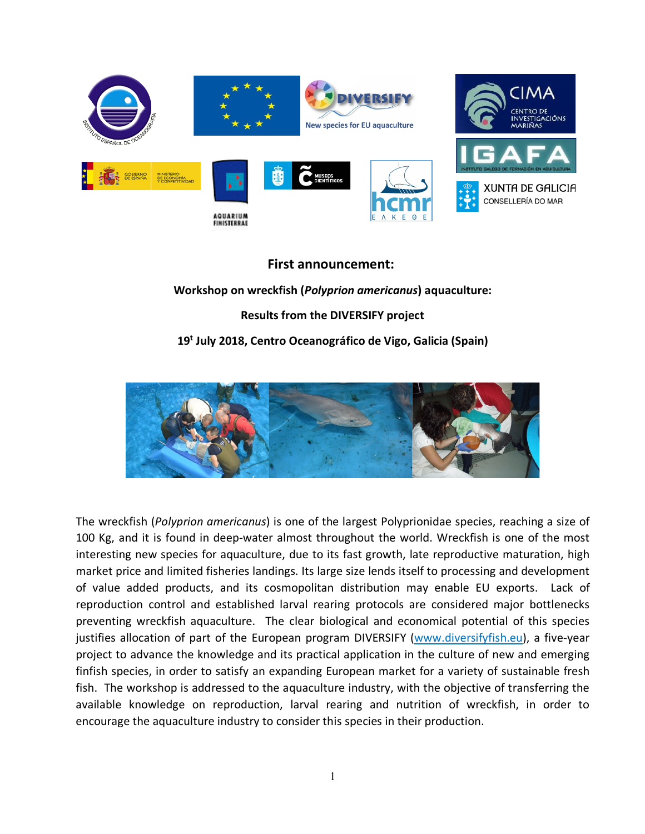

## **First announcement:**

## **Workshop on wreckfish (***Polyprion americanus***) aquaculture: Results from the DIVERSIFY project 19t July 2018, Centro Oceanográfico de Vigo, Galicia (Spain)**



The wreckfish (*Polyprion americanus*) is one of the largest Polyprionidae species, reaching a size of 100 Kg, and it is found in deep-water almost throughout the world. Wreckfish is one of the most interesting new species for aquaculture, due to its fast growth, late reproductive maturation, high market price and limited fisheries landings. Its large size lends itself to processing and development of value added products, and its cosmopolitan distribution may enable EU exports. Lack of reproduction control and established larval rearing protocols are considered major bottlenecks preventing wreckfish aquaculture. The clear biological and economical potential of this species justifies allocation of part of the European program DIVERSIFY (www.diversifyfish.eu), a five-year project to advance the knowledge and its practical application in the culture of new and emerging finfish species, in order to satisfy an expanding European market for a variety of sustainable fresh fish. The workshop is addressed to the aquaculture industry, with the objective of transferring the available knowledge on reproduction, larval rearing and nutrition of wreckfish, in order to encourage the aquaculture industry to consider this species in their production.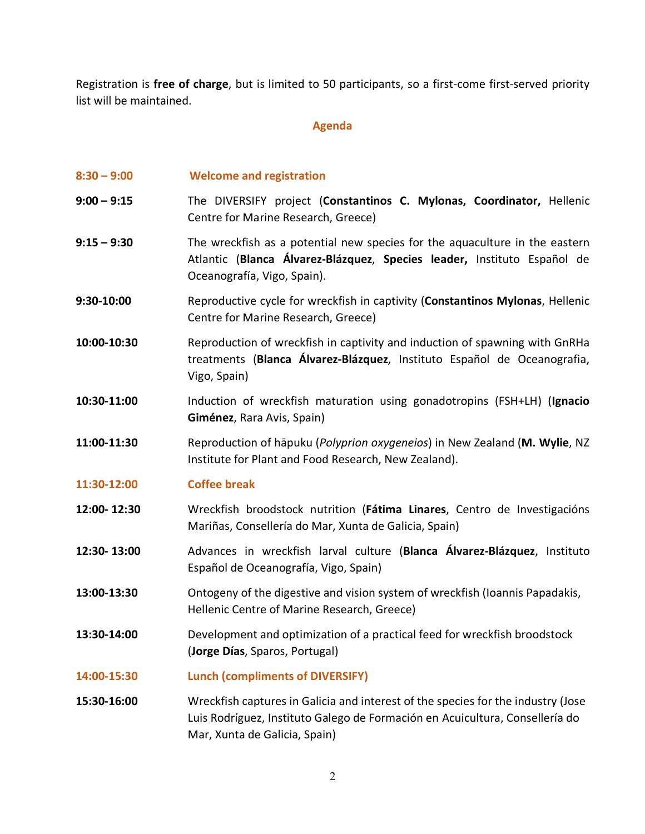Registration is **free of charge**, but is limited to 50 participants, so a first-come first-served priority list will be maintained.

## **Agenda**

- **8:30 – 9:00 Welcome and registration**
- **9:00 – 9:15** The DIVERSIFY project (**Constantinos C. Mylonas, Coordinator,** Hellenic Centre for Marine Research, Greece)
- **9:15 – 9:30** The wreckfish as a potential new species for the aquaculture in the eastern Atlantic (**Blanca Álvarez-Blázquez**, **Species leader,** Instituto Español de Oceanografía, Vigo, Spain).
- **9:30-10:00** Reproductive cycle for wreckfish in captivity (**Constantinos Mylonas**, Hellenic Centre for Marine Research, Greece)
- **10:00-10:30** Reproduction of wreckfish in captivity and induction of spawning with GnRHa treatments (**Blanca Álvarez-Blázquez**, Instituto Español de Oceanografia, Vigo, Spain)
- **10:30-11:00** Induction of wreckfish maturation using gonadotropins (FSH+LH) (**Ignacio Giménez**, Rara Avis, Spain)
- **11:00-11:30** Reproduction of hāpuku (*Polyprion oxygeneios*) in New Zealand (**M. Wylie**, NZ Institute for Plant and Food Research, New Zealand).
- **11:30-12:00 Coffee break**
- **12:00- 12:30** Wreckfish broodstock nutrition (**Fátima Linares**, Centro de Investigacións Mariñas, Consellería do Mar, Xunta de Galicia, Spain)
- **12:30- 13:00** Advances in wreckfish larval culture (**Blanca Álvarez-Blázquez**, Instituto Español de Oceanografía, Vigo, Spain)
- **13:00-13:30** Ontogeny of the digestive and vision system of wreckfish (Ioannis Papadakis, Hellenic Centre of Marine Research, Greece)
- **13:30-14:00** Development and optimization of a practical feed for wreckfish broodstock (**Jorge Días**, Sparos, Portugal)
- **14:00-15:30 Lunch (compliments of DIVERSIFY)**
- **15:30-16:00** Wreckfish captures in Galicia and interest of the species for the industry (Jose Luis Rodríguez, Instituto Galego de Formación en Acuicultura, Consellería do Mar, Xunta de Galicia, Spain)